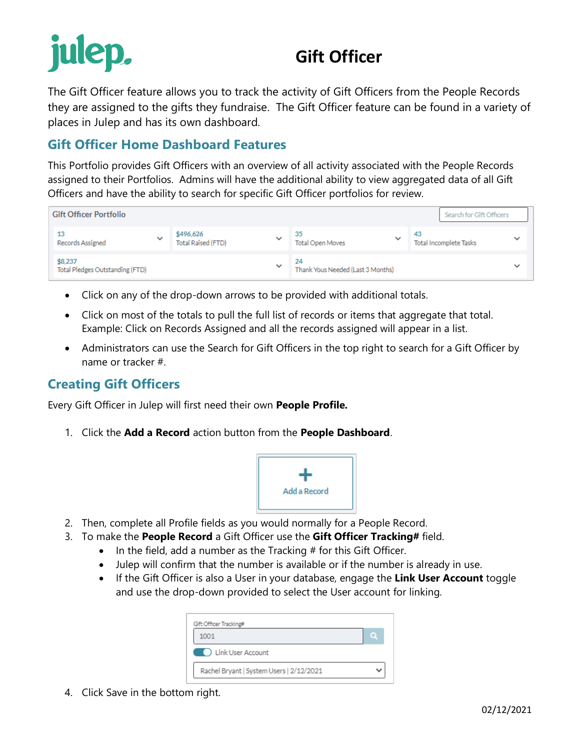# julep.

## **Gift Officer**

The Gift Officer feature allows you to track the activity of Gift Officers from the People Records they are assigned to the gifts they fundraise. The Gift Officer feature can be found in a variety of places in Julep and has its own dashboard.

## **Gift Officer Home Dashboard Features**

This Portfolio provides Gift Officers with an overview of all activity associated with the People Records assigned to their Portfolios. Admins will have the additional ability to view aggregated data of all Gift Officers and have the ability to search for specific Gift Officer portfolios for review.

| <b>Gift Officer Portfolio</b><br>Search for Gift Officers |              |                                 |              |                                         |              |                              |              |  |  |
|-----------------------------------------------------------|--------------|---------------------------------|--------------|-----------------------------------------|--------------|------------------------------|--------------|--|--|
| 13<br>Records Assigned                                    | $\checkmark$ | \$496,626<br>Total Raised (FTD) | $\check{ }$  | 35<br>Total Open Moves                  | $\checkmark$ | 43<br>Total Incomplete Tasks | $\checkmark$ |  |  |
| \$8,237<br>Total Pledges Outstanding (FTD)                |              |                                 | $\checkmark$ | 24<br>Thank Yous Needed (Last 3 Months) |              |                              | $\check{ }$  |  |  |

- Click on any of the drop-down arrows to be provided with additional totals.
- Click on most of the totals to pull the full list of records or items that aggregate that total. Example: Click on Records Assigned and all the records assigned will appear in a list.
- Administrators can use the Search for Gift Officers in the top right to search for a Gift Officer by name or tracker #.

## **Creating Gift Officers**

Every Gift Officer in Julep will first need their own **People Profile.** 

1. Click the **Add a Record** action button from the **People Dashboard**.



- 2. Then, complete all Profile fields as you would normally for a People Record.
- 3. To make the **People Record** a Gift Officer use the **Gift Officer Tracking#** field.
	- $\bullet$  In the field, add a number as the Tracking  $#$  for this Gift Officer.
	- Julep will confirm that the number is available or if the number is already in use.
	- If the Gift Officer is also a User in your database, engage the **Link User Account** toggle and use the drop-down provided to select the User account for linking.

| Gift Officer Tracking#                   |  |
|------------------------------------------|--|
| 1001                                     |  |
| <b>COLOR</b> Link User Account           |  |
| Rachel Bryant   System Users   2/12/2021 |  |

4. Click Save in the bottom right.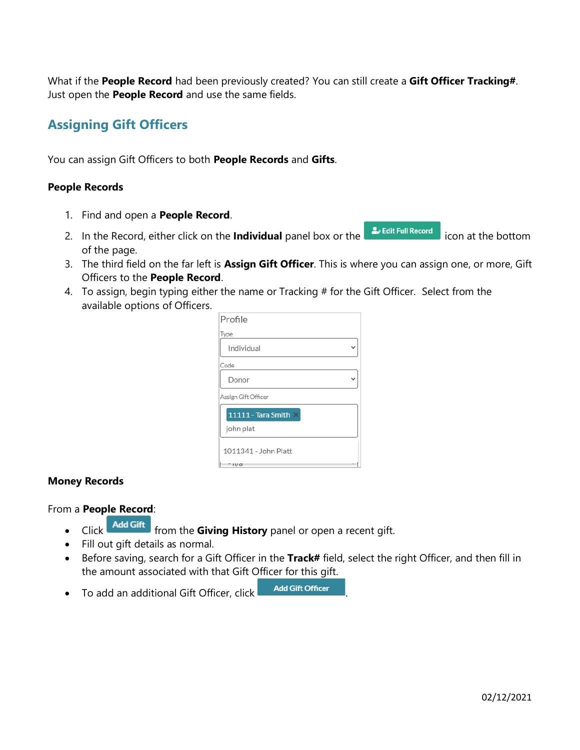What if the **People Record** had been previously created? You can still create a **Gift Officer Tracking#**. Just open the **People Record** and use the same fields.

## **Assigning Gift Officers**

You can assign Gift Officers to both **People Records** and **Gifts**.

#### **People Records**

- 1. Find and open a **People Record**.
- 2. In the Record, either click on the **Individual** panel box or the **interpretent as a** icon at the bottom of the page.
- 3. The third field on the far left is **Assign Gift Officer**. This is where you can assign one, or more, Gift Officers to the **People Record**.
- 4. To assign, begin typing either the name or Tracking # for the Gift Officer. Select from the available options of Officers.

| Profile              |  |
|----------------------|--|
| Type                 |  |
| Individual           |  |
| Code                 |  |
| Donor                |  |
| Assign Gift Officer  |  |
| 11111 - Tara Smith X |  |
| john plat            |  |
| 1011341 - John Platt |  |
| ну а                 |  |

#### **Money Records**

From a **People Record**:

- Click **Add Gift** from the **Giving History** panel or open a recent gift.
- Fill out gift details as normal.
- Before saving, search for a Gift Officer in the **Track#** field, select the right Officer, and then fill in the amount associated with that Gift Officer for this gift.
- To add an additional Gift Officer, click .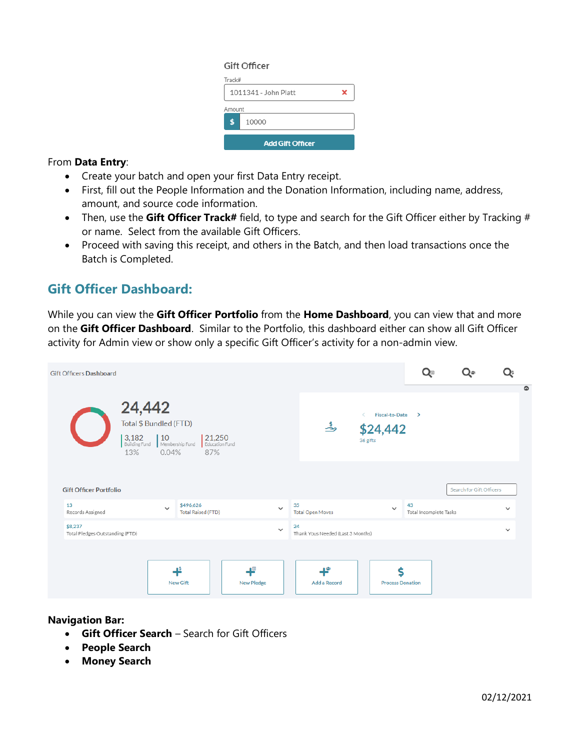#### Gift Officer

| Track#<br>1011341 - John Platt |  |  |  |  |  |  |  |
|--------------------------------|--|--|--|--|--|--|--|
| Amount                         |  |  |  |  |  |  |  |
| 10000<br>ፍ                     |  |  |  |  |  |  |  |
| <b>Add Gift Officer</b>        |  |  |  |  |  |  |  |

#### From **Data Entry**:

- Create your batch and open your first Data Entry receipt.
- First, fill out the People Information and the Donation Information, including name, address, amount, and source code information.
- Then, use the **Gift Officer Track#** field, to type and search for the Gift Officer either by Tracking # or name. Select from the available Gift Officers.
- Proceed with saving this receipt, and others in the Batch, and then load transactions once the Batch is Completed.

## **Gift Officer Dashboard:**

While you can view the **Gift Officer Portfolio** from the **Home Dashboard**, you can view that and more on the **Gift Officer Dashboard**. Similar to the Portfolio, this dashboard either can show all Gift Officer activity for Admin view or show only a specific Gift Officer's activity for a non-admin view.

| <b>Gift Officers Dashboard</b>             |                                                                   |              |                                        |                                 |                        |              |    |                                   |                                               |                              | ت∌ب                      |              |           |
|--------------------------------------------|-------------------------------------------------------------------|--------------|----------------------------------------|---------------------------------|------------------------|--------------|----|-----------------------------------|-----------------------------------------------|------------------------------|--------------------------|--------------|-----------|
|                                            | 24,442<br>Total \$ Bundled (FTD)<br>3,182<br>Building Fund<br>13% | 10<br>0.04%  | Membership Fund                        | 21,250<br>Education Fund<br>87% |                        |              |    | ھُ                                | <b>Fiscal-to-Date</b><br>\$24,442<br>36 gifts | $\rightarrow$                |                          |              | $\bullet$ |
| <b>Gift Officer Portfolio</b>              |                                                                   |              |                                        |                                 |                        |              |    |                                   |                                               |                              | Search for Gift Officers |              |           |
| 13<br>Records Assigned                     |                                                                   | $\checkmark$ | \$496,626<br><b>Total Raised (FTD)</b> |                                 |                        | $\checkmark$ | 35 | <b>Total Open Moves</b>           | $\checkmark$                                  | 43<br>Total Incomplete Tasks |                          | $\check{ }$  |           |
| \$8,237<br>Total Pledges Outstanding (FTD) |                                                                   |              |                                        |                                 |                        | $\checkmark$ | 24 | Thank Yous Needed (Last 3 Months) |                                               |                              |                          | $\checkmark$ |           |
|                                            |                                                                   |              | ₽<br><b>New Gift</b>                   |                                 | 旧<br><b>New Pledge</b> |              |    | ť<br>Add a Record                 | Ś<br><b>Process Donation</b>                  |                              |                          |              |           |

#### **Navigation Bar:**

- **Gift Officer Search** Search for Gift Officers
- **People Search**
- **Money Search**